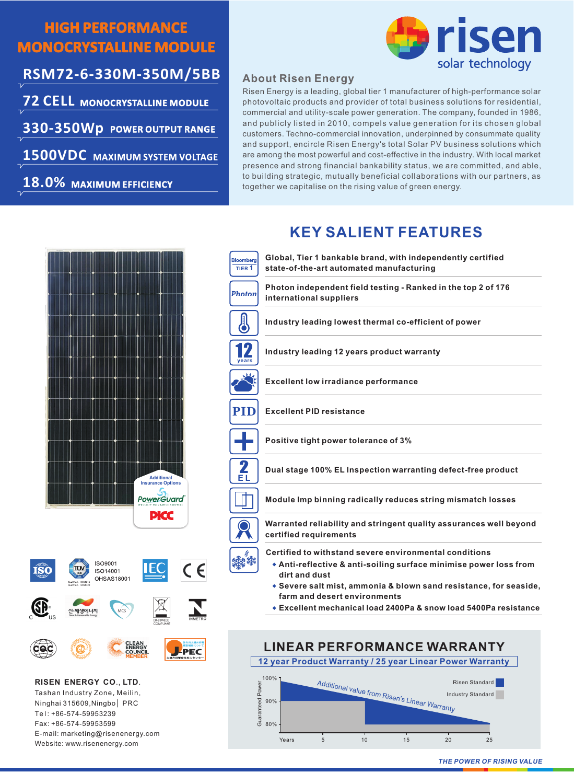## **HIGH PERFORMANCE MONOCRYSTALLINE MODULE**

**RSM72-6-330M-350M/5BB 72 CELL MONOCRYSTALLINE MODULE**

**330-350Wp POWER OUTPUT RANGE**

**1500VDC MAXIMUM SYSTEM VOLTAGE**

**18.0% MAXIMUM EFFICIENCY**



### **About Risen Energy**

photovoltaic products and provider of total business solutions for residential, commercial and utility-scale power generation. The company, founded in 1986, and publicly listed in 2010, compels value generation for its chosen global customers. Techno-commercial innovation, underpinned by consummate quality and support, encircle Risen Energy's total Solar PV business solutions which are among the most powerful and cost-effective in the industry. With local market presence and strong financial bankability status, we are committed, and able, to building strategic, mutually beneficial collaborations with our partners, as together we capitalise on the rising value of green energy. Risen Energy is a leading, global tier 1 manufacturer of high-performance solar

# **KEY SALIENT FEATURES**





**RISEN ENERGY CO**., **LTD**. Tashan Industry Zone, Meilin, Ninghai 315609,Ningbo PRC Te l : +86-574-59953239 Fax: +86-574-59953599 E-mail: marketing@risenenergy.com Website: www.risenenergy.com





**THE POWER OF RISING VALUE**